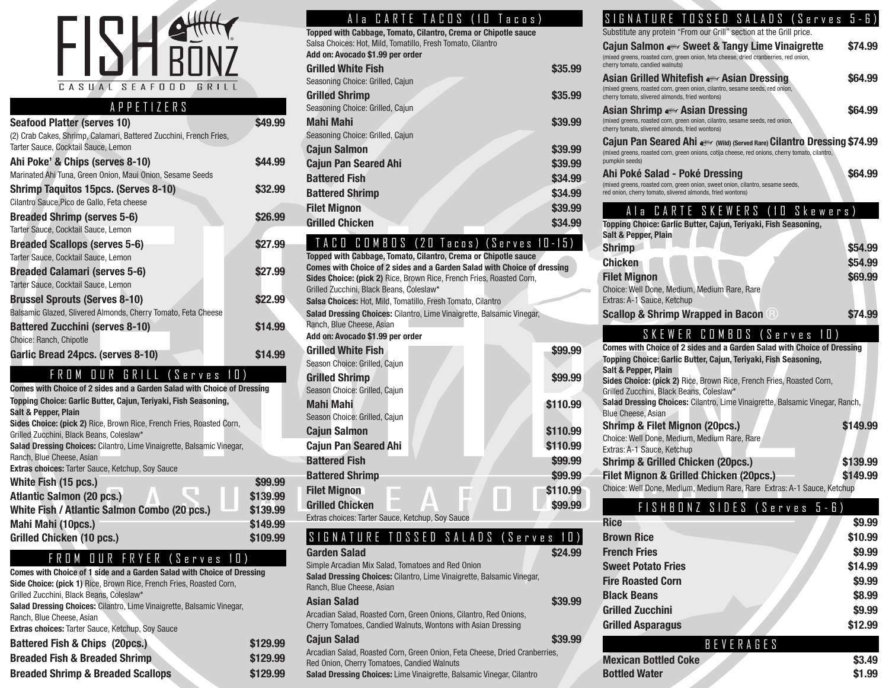

#### APPETIZERS

| <b>Seafood Platter (serves 10)</b>                                 | \$49.99 |
|--------------------------------------------------------------------|---------|
| (2) Crab Cakes, Shrimp, Calamari, Battered Zucchini, French Fries, |         |
| Tarter Sauce, Cocktail Sauce, Lemon                                |         |
| Ahi Poke' & Chips (serves 8-10)                                    | \$44.99 |
| Marinated Ahi Tuna, Green Onion, Maui Onion, Sesame Seeds          |         |
| <b>Shrimp Taquitos 15pcs. (Serves 8-10)</b>                        | \$32.99 |
| Cilantro Sauce, Pico de Gallo, Feta cheese                         |         |
| <b>Breaded Shrimp (serves 5-6)</b>                                 | \$26.99 |
| Tarter Sauce, Cocktail Sauce, Lemon                                |         |
| <b>Breaded Scallops (serves 5-6)</b>                               | \$27.99 |
| Tarter Sauce, Cocktail Sauce, Lemon                                |         |
| <b>Breaded Calamari (serves 5-6)</b>                               | \$27.99 |
| Tarter Sauce, Cocktail Sauce, Lemon                                |         |
| <b>Brussel Sprouts (Serves 8-10)</b>                               | \$22.99 |
| Balsamic Glazed, Slivered Almonds, Cherry Tomato, Feta Cheese      |         |
| <b>Battered Zucchini (serves 8-10)</b>                             | \$14.99 |
| Choice: Ranch, Chipotle                                            |         |
| Garlic Bread 24pcs. (serves 8-10)                                  | \$14.99 |

FROM OUR GRILL (Serves 10)

| Comes with Choice of 2 sides and a Garden Salad with Choice of Dressing      |          |
|------------------------------------------------------------------------------|----------|
| Topping Choice: Garlic Butter, Cajun, Teriyaki, Fish Seasoning,              |          |
| <b>Salt &amp; Pepper, Plain</b>                                              |          |
| Sides Choice: (pick 2) Rice, Brown Rice, French Fries, Roasted Corn,         |          |
| Grilled Zucchini, Black Beans, Coleslaw*                                     |          |
| <b>Salad Dressing Choices: Cilantro, Lime Vinaigrette, Balsamic Vinegar,</b> |          |
| Ranch, Blue Cheese, Asian                                                    |          |
| <b>Extras choices: Tarter Sauce, Ketchup, Soy Sauce</b>                      |          |
| White Fish (15 pcs.)                                                         | \$99.99  |
| <b>Atlantic Salmon (20 pcs.)</b>                                             | \$139.99 |
| White Fish / Atlantic Salmon Combo (20 pcs.)                                 | \$139.99 |
| Mahi Mahi (10pcs.)                                                           | \$149.99 |
| <b>Grilled Chicken (10 pcs.)</b>                                             | \$109.99 |

#### FROM OUR FRYER (Serves 10)

**Comes with Choice of 1 side and a Garden Salad with Choice of Dressing Side Choice: (pick 1)** Rice, Brown Rice, French Fries, Roasted Corn, Grilled Zucchini, Black Beans, Coleslaw\* **Salad Dressing Choices:** Cilantro, Lime Vinaigrette, Balsamic Vinegar,

Ranch, Blue Cheese, Asian

**Extras choices:** Tarter Sauce, Ketchup, Soy Sauce

| <b>Battered Fish &amp; Chips (20pcs.)</b>    | \$129.99 |
|----------------------------------------------|----------|
| <b>Breaded Fish &amp; Breaded Shrimp</b>     | \$129.99 |
| <b>Breaded Shrimp &amp; Breaded Scallops</b> | \$129.99 |

|  | A la CARTE TACOS (10 Tacos) |
|--|-----------------------------|
|  |                             |

| Topped with Cabbage, Tomato, Cilantro, Crema or Chipotle sauce |         |
|----------------------------------------------------------------|---------|
| Salsa Choices: Hot, Mild, Tomatillo, Fresh Tomato, Cilantro    |         |
| Add on: Avocado \$1.99 per order                               |         |
| <b>Grilled White Fish</b>                                      | \$35.99 |
| Seasoning Choice: Grilled, Cajun                               |         |
| <b>Grilled Shrimp</b>                                          | \$35.99 |
| Seasoning Choice: Grilled, Cajun                               |         |
| Mahi Mahi                                                      | \$39.99 |
| Seasoning Choice: Grilled, Cajun                               |         |
| <b>Cajun Salmon</b>                                            | \$39.99 |
| <b>Cajun Pan Seared Ahi</b>                                    | \$39.99 |
| <b>Battered Fish</b>                                           | \$34.99 |
| <b>Battered Shrimp</b>                                         | \$34.99 |
| <b>Filet Mignon</b>                                            | \$39.99 |
| <b>Grilled Chicken</b>                                         | \$34.99 |

#### TACO COMBOS (20 Tacos) (Serves 10-15)

**Topped with Cabbage, Tomato, Cilantro, Crema or Chipotle sauce Comes with Choice of 2 sides and a Garden Salad with Choice of dressing Sides Choice: (pick 2)** Rice, Brown Rice, French Fries, Roasted Corn, Grilled Zucchini, Black Beans, Coleslaw\* **Salsa Choices:** Hot, Mild, Tomatillo, Fresh Tomato, Cilantro **Salad Dressing Choices:** Cilantro, Lime Vinaigrette, Balsamic Vinegar, Ranch, Blue Cheese, Asian **Add on: Avocado \$1.99 per order Grilled White Fish <b>\$99.99** Season Choice: Grilled, Cajun **Grilled Shrimp \$99.99** Season Choice: Grilled, Cajun **Mahi Mahi \$110.99** Season Choice: Grilled, Cajun **Cajun Salmon \$110.99 Cajun Pan Seared Ahi \$110.99 Battered Fish 599.99 Battered Shrimp \$99.99 Filet Mignon**  $\qquad \qquad$  **<b>\$110.99 Grilled Chicken \$99.99** Extras choices: Tarter Sauce, Ketchup, Soy Sauce

#### SIGNATURE TOSSED SALADS (Serves 10)

| <b>Garden Salad</b>                                                                                                                | 24.99   |
|------------------------------------------------------------------------------------------------------------------------------------|---------|
| Simple Arcadian Mix Salad, Tomatoes and Red Onion                                                                                  |         |
| Salad Dressing Choices: Cilantro, Lime Vinaigrette, Balsamic Vinegar,                                                              |         |
| Ranch, Blue Cheese, Asian                                                                                                          |         |
| Asian Salad                                                                                                                        | \$39.99 |
| Arcadian Salad, Roasted Corn, Green Onions, Cilantro, Red Onions,<br>Cherry Tomatoes, Candied Walnuts, Wontons with Asian Dressing |         |
| <b>Cajun Salad</b>                                                                                                                 | \$39.99 |
| Arcadian Salad, Roasted Corn, Green Onion, Feta Cheese, Dried Cranberries,                                                         |         |
| Red Onion, Cherry Tomatoes, Candied Walnuts                                                                                        |         |
| Salad Dressing Choices: Lime Vinaigrette, Balsamic Vinegar, Cilantro                                                               |         |

#### SIGNATURE TOSSED SALADS (Serves

| ш<br>.<br>ш<br>ш<br>ш<br>ш<br>ப<br>ш<br>Substitute any protein "From our Grill" section at the Grill price.                                                                                                                                                                                                                                                                                                                                      |                    |
|--------------------------------------------------------------------------------------------------------------------------------------------------------------------------------------------------------------------------------------------------------------------------------------------------------------------------------------------------------------------------------------------------------------------------------------------------|--------------------|
| <b>Cajun Salmon « Sweet &amp; Tangy Lime Vinaigrette</b><br>(mixed greens, roasted corn, green onion, feta cheese, dried cranberries, red onion,<br>cherry tomato, candied walnuts)                                                                                                                                                                                                                                                              | \$74.99            |
| Asian Grilled Whitefish Asian Dressing<br>(mixed greens, roasted corn, green onion, cilantro, sesame seeds, red onion,<br>cherry tomato, slivered almonds, fried wontons)                                                                                                                                                                                                                                                                        | \$64.99            |
| Asian Shrimp Asian Dressing<br>(mixed greens, roasted corn, green onion, cilantro, sesame seeds, red onion,<br>cherry tomato, slivered almonds, fried wontons)                                                                                                                                                                                                                                                                                   | \$64.99            |
| Cajun Pan Seared Ahi 4 (Wild) (Served Rare) Cilantro Dressing \$74.99<br>(mixed greens, roasted corn, green onions, cotija cheese, red onions, cherry tomato, cilantro,<br>pumpkin seeds)                                                                                                                                                                                                                                                        |                    |
| Ahi Poké Salad - Poké Dressing<br>(mixed greens, roasted corn, green onion, sweet onion, cilantro, sesame seeds,<br>red onion, cherry tomato, slivered almonds, fried wontons)                                                                                                                                                                                                                                                                   | \$64.99            |
| CARTE SKEWERS<br>Skewers)<br>(10<br>Ala<br>Topping Choice: Garlic Butter, Cajun, Teriyaki, Fish Seasoning,<br><b>Salt &amp; Pepper, Plain</b><br><b>Shrimp</b>                                                                                                                                                                                                                                                                                   | \$54.99            |
| <b>Chicken</b><br><b>Filet Mignon</b><br>Choice: Well Done, Medium, Medium Rare, Rare<br>Extras: A-1 Sauce, Ketchup                                                                                                                                                                                                                                                                                                                              | \$54.99<br>\$69.99 |
| <b>Scallop &amp; Shrimp Wrapped in Bacon B</b>                                                                                                                                                                                                                                                                                                                                                                                                   | \$74.99            |
| SKEWER COMBOS (Serves<br>1 [])<br>Comes with Choice of 2 sides and a Garden Salad with Choice of Dressing<br>Topping Choice: Garlic Butter, Cajun, Teriyaki, Fish Seasoning,<br><b>Salt &amp; Pepper, Plain</b><br>Sides Choice: (pick 2) Rice, Brown Rice, French Fries, Roasted Corn,<br>Grilled Zucchini, Black Beans, Coleslaw*<br>Salad Dressing Choices: Cilantro, Lime Vinaigrette, Balsamic Vinegar, Ranch,<br><b>Blue Cheese, Asian</b> |                    |
| Shrimp & Filet Mignon (20pcs.)<br>Choice: Well Done, Medium, Medium Rare, Rare<br>Extras: A-1 Sauce, Ketchup                                                                                                                                                                                                                                                                                                                                     | \$149.99           |
| <b>Shrimp &amp; Grilled Chicken (20pcs.)</b>                                                                                                                                                                                                                                                                                                                                                                                                     | \$139.99           |

**Filet Mignon & Grilled Chicken (20pcs.) \$149.99** Choice: Well Done, Medium, Medium Rare, Rare Extras: A-1 Sauce, Ketchup

#### FISHBONZ SIDES (Serves 5-6)

| <b>Rice</b>               | \$9.99  |
|---------------------------|---------|
| <b>Brown Rice</b>         | \$10.99 |
| <b>French Fries</b>       | \$9.99  |
| <b>Sweet Potato Fries</b> | \$14.99 |
| <b>Fire Roasted Corn</b>  | \$9.99  |
| <b>Black Beans</b>        | \$8.99  |
| <b>Grilled Zucchini</b>   | \$9.99  |
| <b>Grilled Asparagus</b>  | \$12.99 |

|                             | BEVERAGES |        |
|-----------------------------|-----------|--------|
| <b>Mexican Bottled Coke</b> |           | \$3.49 |
| <b>Bottled Water</b>        |           | \$1.99 |